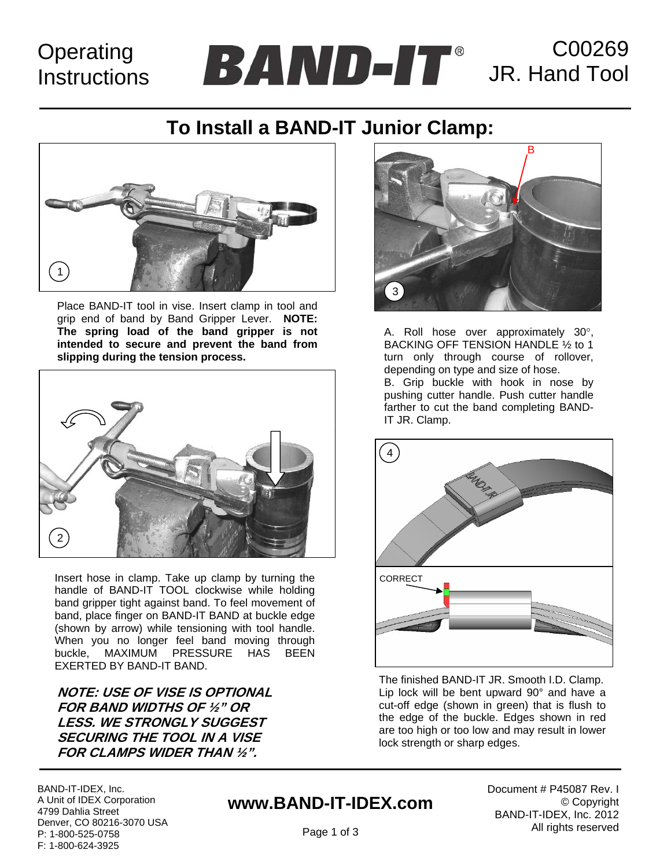# **Operating Instructions**

C00269 JR. Hand Tool

# **To Install a BAND-IT Junior Clamp:**



Place BAND-IT tool in vise. Insert clamp in tool and grip end of band by Band Gripper Lever. **NOTE: The spring load of the band gripper is not intended to secure and prevent the band from slipping during the tension process.**



Insert hose in clamp. Take up clamp by turning the handle of BAND-IT TOOL clockwise while holding band gripper tight against band. To feel movement of band, place finger on BAND-IT BAND at buckle edge (shown by arrow) while tensioning with tool handle. When you no longer feel band moving through buckle, MAXIMUM PRESSURE HAS BEEN EXERTED BY BAND-IT BAND.

**NOTE: USE OF VISE IS OPTIONAL FOR BAND WIDTHS OF ½" OR LESS. WE STRONGLY SUGGEST SECURING THE TOOL IN A VISE FOR CLAMPS WIDER THAN ½".** 



A. Roll hose over approximately 30°, BACKING OFF TENSION HANDLE ½ to 1 turn only through course of rollover, depending on type and size of hose. B. Grip buckle with hook in nose by pushing cutter handle. Push cutter handle farther to cut the band completing BAND-IT JR. Clamp.



The finished BAND-IT JR. Smooth I.D. Clamp. Lip lock will be bent upward 90° and have a cut-off edge (shown in green) that is flush to the edge of the buckle. Edges shown in red are too high or too low and may result in lower lock strength or sharp edges.

BAND-IT-IDEX, Inc. A Unit of IDEX Corporation 4799 Dahlia Street Denver, CO 80216-3070 USA P: 1-800-525-0758 F: 1-800-624-3925

## **www.BAND-IT-IDEX.com**

Document # P45087 Rev. I © Copyright BAND-IT-IDEX, Inc. 2012 All rights reserved

Page 1 of 3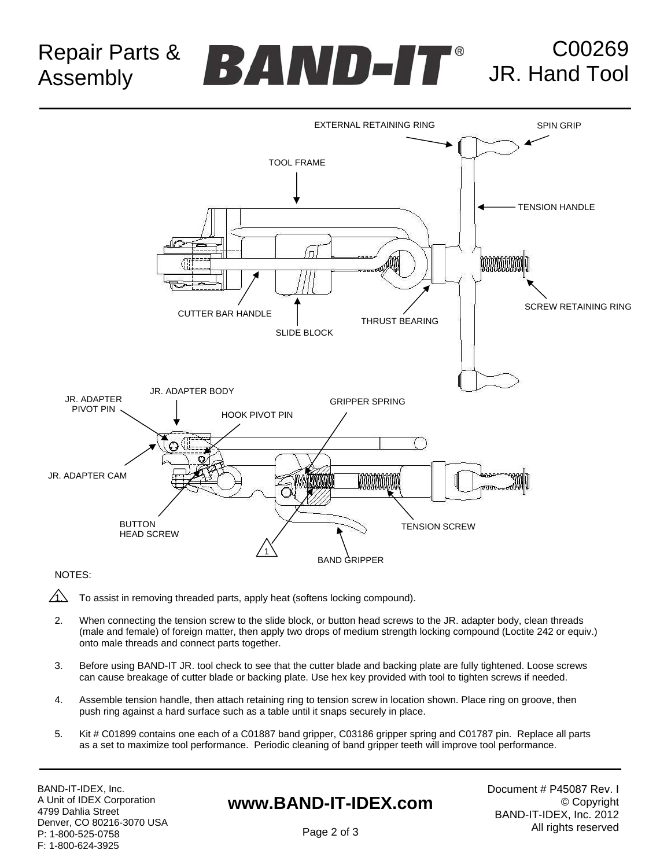Repair Parts & Assembly

# C00269 JR. Hand Tool



### NOTES:

- $\sqrt{1}$  To assist in removing threaded parts, apply heat (softens locking compound).
- 2. When connecting the tension screw to the slide block, or button head screws to the JR. adapter body, clean threads (male and female) of foreign matter, then apply two drops of medium strength locking compound (Loctite 242 or equiv.) onto male threads and connect parts together.
- 3. Before using BAND-IT JR. tool check to see that the cutter blade and backing plate are fully tightened. Loose screws can cause breakage of cutter blade or backing plate. Use hex key provided with tool to tighten screws if needed.
- 4. Assemble tension handle, then attach retaining ring to tension screw in location shown. Place ring on groove, then push ring against a hard surface such as a table until it snaps securely in place.
- 5. Kit # C01899 contains one each of a C01887 band gripper, C03186 gripper spring and C01787 pin. Replace all parts as a set to maximize tool performance. Periodic cleaning of band gripper teeth will improve tool performance.

BAND-IT-IDEX, Inc. A Unit of IDEX Corporation 4799 Dahlia Street Denver, CO 80216-3070 USA P: 1-800-525-0758 F: 1-800-624-3925

### **www.BAND-IT-IDEX.com**

Document # P45087 Rev. I © Copyright BAND-IT-IDEX, Inc. 2012 All rights reserved

Page 2 of 3